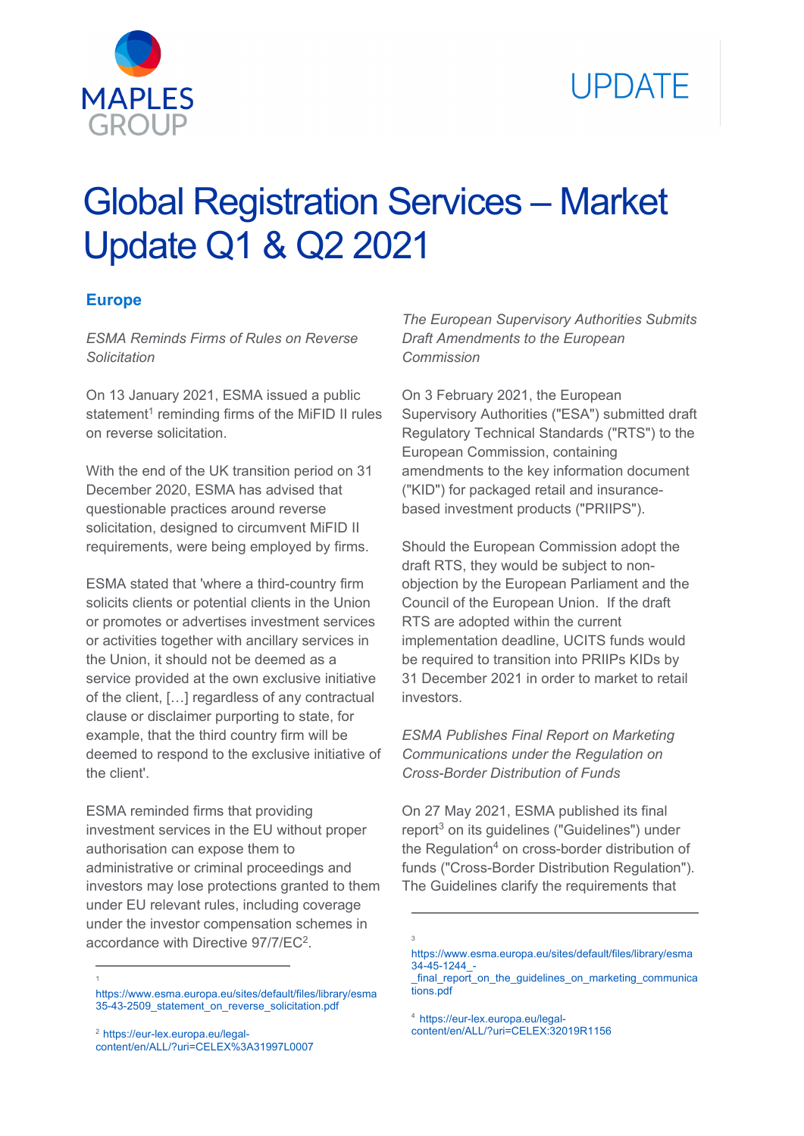

# **IPDATE**

# Global Registration Services – Market Update Q1 & Q2 2021

# **Europe**

*ESMA Reminds Firms of Rules on Reverse Solicitation* 

On 13 January 2021, ESMA issued a public statement<sup>1</sup> reminding firms of the MiFID II rules on reverse solicitation.

With the end of the UK transition period on 31 December 2020, ESMA has advised that questionable practices around reverse solicitation, designed to circumvent MiFID II requirements, were being employed by firms.

ESMA stated that 'where a third-country firm solicits clients or potential clients in the Union or promotes or advertises investment services or activities together with ancillary services in the Union, it should not be deemed as a service provided at the own exclusive initiative of the client, […] regardless of any contractual clause or disclaimer purporting to state, for example, that the third country firm will be deemed to respond to the exclusive initiative of the client'.

ESMA reminded firms that providing investment services in the EU without proper authorisation can expose them to administrative or criminal proceedings and investors may lose protections granted to them under EU relevant rules, including coverage under the investor compensation schemes in accordance with Directive 97/7/EC2.

https://www.esma.europa.eu/sites/default/files/library/esma 35-43-2509\_statement\_on\_reverse\_solicitation.pdf

-1 *The European Supervisory Authorities Submits Draft Amendments to the European Commission* 

On 3 February 2021, the European Supervisory Authorities ("ESA") submitted draft Regulatory Technical Standards ("RTS") to the European Commission, containing amendments to the key information document ("KID") for packaged retail and insurancebased investment products ("PRIIPS").

Should the European Commission adopt the draft RTS, they would be subject to nonobjection by the European Parliament and the Council of the European Union. If the draft RTS are adopted within the current implementation deadline, UCITS funds would be required to transition into PRIIPs KIDs by 31 December 2021 in order to market to retail investors.

*ESMA Publishes Final Report on Marketing Communications under the Regulation on Cross-Border Distribution of Funds* 

On 27 May 2021, ESMA published its final report<sup>3</sup> on its guidelines ("Guidelines") under the Regulation $4$  on cross-border distribution of funds ("Cross-Border Distribution Regulation"). The Guidelines clarify the requirements that

<sup>4</sup> https://eur-lex.europa.eu/legalcontent/en/ALL/?uri=CELEX:32019R1156

<u>.</u> 3

<sup>2</sup> https://eur-lex.europa.eu/legalcontent/en/ALL/?uri=CELEX%3A31997L0007

https://www.esma.europa.eu/sites/default/files/library/esma 34-45-1244\_-

final report on the guidelines on marketing communica tions.pdf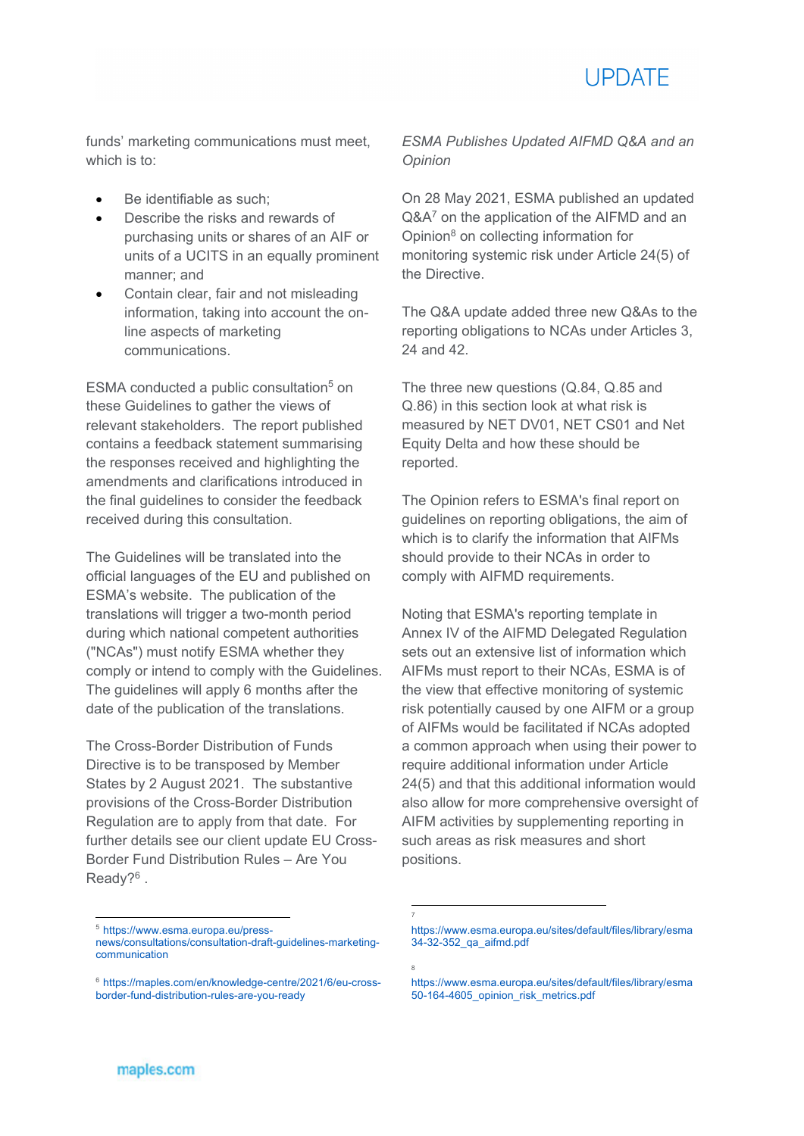

funds' marketing communications must meet, which is to:

- Be identifiable as such;
- Describe the risks and rewards of purchasing units or shares of an AIF or units of a UCITS in an equally prominent manner; and
- Contain clear, fair and not misleading information, taking into account the online aspects of marketing communications.

ESMA conducted a public consultation<sup>5</sup> on these Guidelines to gather the views of relevant stakeholders. The report published contains a feedback statement summarising the responses received and highlighting the amendments and clarifications introduced in the final guidelines to consider the feedback received during this consultation.

The Guidelines will be translated into the official languages of the EU and published on ESMA's website. The publication of the translations will trigger a two-month period during which national competent authorities ("NCAs") must notify ESMA whether they comply or intend to comply with the Guidelines. The guidelines will apply 6 months after the date of the publication of the translations.

The Cross-Border Distribution of Funds Directive is to be transposed by Member States by 2 August 2021. The substantive provisions of the Cross-Border Distribution Regulation are to apply from that date. For further details see our client update EU Cross-Border Fund Distribution Rules – Are You Ready?<sup>6</sup>.

*ESMA Publishes Updated AIFMD Q&A and an Opinion* 

On 28 May 2021, ESMA published an updated Q&A<sup>7</sup> on the application of the AIFMD and an Opinion8 on collecting information for monitoring systemic risk under Article 24(5) of the Directive.

The Q&A update added three new Q&As to the reporting obligations to NCAs under Articles 3, 24 and 42.

The three new questions (Q.84, Q.85 and Q.86) in this section look at what risk is measured by NET DV01, NET CS01 and Net Equity Delta and how these should be reported.

The Opinion refers to ESMA's final report on guidelines on reporting obligations, the aim of which is to clarify the information that AIFMs should provide to their NCAs in order to comply with AIFMD requirements.

Noting that ESMA's reporting template in Annex IV of the AIFMD Delegated Regulation sets out an extensive list of information which AIFMs must report to their NCAs, ESMA is of the view that effective monitoring of systemic risk potentially caused by one AIFM or a group of AIFMs would be facilitated if NCAs adopted a common approach when using their power to require additional information under Article 24(5) and that this additional information would also allow for more comprehensive oversight of AIFM activities by supplementing reporting in such areas as risk measures and short positions.

<u>.</u> 7

8

1

<sup>5</sup> https://www.esma.europa.eu/press-

news/consultations/consultation-draft-guidelines-marketingcommunication

<sup>6</sup> https://maples.com/en/knowledge-centre/2021/6/eu-crossborder-fund-distribution-rules-are-you-ready

https://www.esma.europa.eu/sites/default/files/library/esma 34-32-352\_qa\_aifmd.pdf

https://www.esma.europa.eu/sites/default/files/library/esma 50-164-4605\_opinion\_risk\_metrics.pdf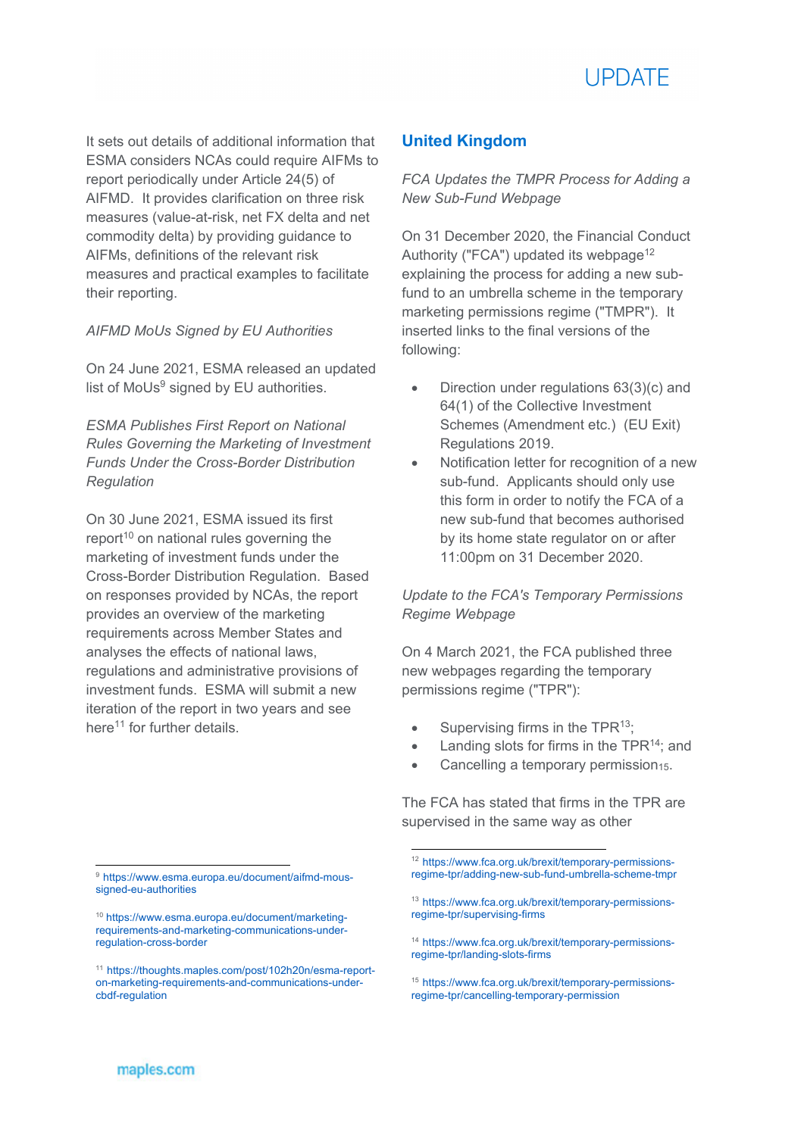

It sets out details of additional information that ESMA considers NCAs could require AIFMs to report periodically under Article 24(5) of AIFMD. It provides clarification on three risk measures (value-at-risk, net FX delta and net commodity delta) by providing guidance to AIFMs, definitions of the relevant risk measures and practical examples to facilitate their reporting.

*AIFMD MoUs Signed by EU Authorities*

On 24 June 2021, ESMA released an updated list of MoUs<sup>9</sup> signed by EU authorities.

*ESMA Publishes First Report on National Rules Governing the Marketing of Investment Funds Under the Cross-Border Distribution Regulation* 

On 30 June 2021, ESMA issued its first report<sup>10</sup> on national rules governing the marketing of investment funds under the Cross-Border Distribution Regulation. Based on responses provided by NCAs, the report provides an overview of the marketing requirements across Member States and analyses the effects of national laws, regulations and administrative provisions of investment funds. ESMA will submit a new iteration of the report in two years and see here<sup>11</sup> for further details.

# **United Kingdom**

*FCA Updates the TMPR Process for Adding a New Sub-Fund Webpage* 

On 31 December 2020, the Financial Conduct Authority ("FCA") updated its webpage<sup>12</sup> explaining the process for adding a new subfund to an umbrella scheme in the temporary marketing permissions regime ("TMPR"). It inserted links to the final versions of the following:

- Direction under regulations 63(3)(c) and 64(1) of the Collective Investment Schemes (Amendment etc.) (EU Exit) Regulations 2019.
- Notification letter for recognition of a new sub-fund. Applicants should only use this form in order to notify the FCA of a new sub-fund that becomes authorised by its home state regulator on or after 11:00pm on 31 December 2020.

# *Update to the FCA's Temporary Permissions Regime Webpage*

On 4 March 2021, the FCA published three new webpages regarding the temporary permissions regime ("TPR"):

 $\bullet$  Supervising firms in the TPR<sup>13</sup>;

-

- Landing slots for firms in the TPR14; and
- Cancelling a temporary permission15.

The FCA has stated that firms in the TPR are supervised in the same way as other

<sup>9</sup> https://www.esma.europa.eu/document/aifmd-moussigned-eu-authorities

<sup>10</sup> https://www.esma.europa.eu/document/marketingrequirements-and-marketing-communications-underregulation-cross-border

<sup>11</sup> https://thoughts.maples.com/post/102h20n/esma-reporton-marketing-requirements-and-communications-undercbdf-regulation

<sup>12</sup> https://www.fca.org.uk/brexit/temporary-permissionsregime-tpr/adding-new-sub-fund-umbrella-scheme-tmpr

<sup>13</sup> https://www.fca.org.uk/brexit/temporary-permissionsregime-tpr/supervising-firms

<sup>14</sup> https://www.fca.org.uk/brexit/temporary-permissionsregime-tpr/landing-slots-firms

<sup>15</sup> https://www.fca.org.uk/brexit/temporary-permissionsregime-tpr/cancelling-temporary-permission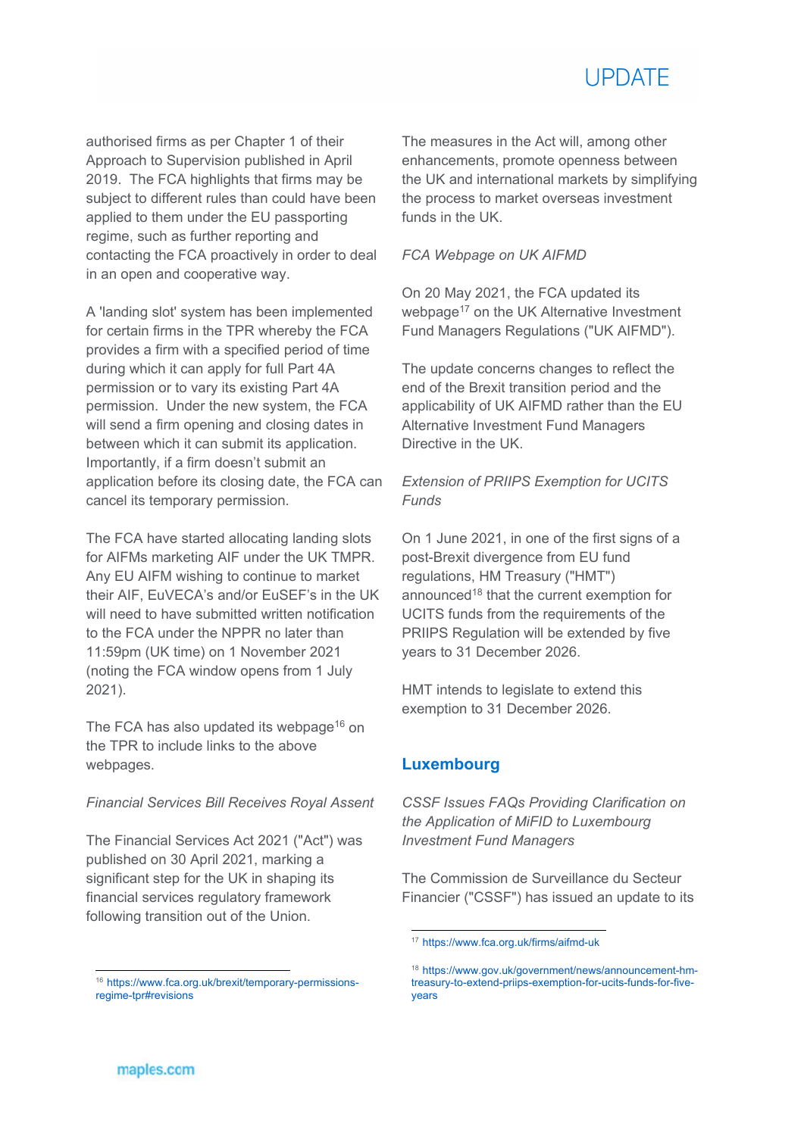

authorised firms as per Chapter 1 of their Approach to Supervision published in April 2019. The FCA highlights that firms may be subject to different rules than could have been applied to them under the EU passporting regime, such as further reporting and contacting the FCA proactively in order to deal in an open and cooperative way.

A 'landing slot' system has been implemented for certain firms in the TPR whereby the FCA provides a firm with a specified period of time during which it can apply for full Part 4A permission or to vary its existing Part 4A permission. Under the new system, the FCA will send a firm opening and closing dates in between which it can submit its application. Importantly, if a firm doesn't submit an application before its closing date, the FCA can cancel its temporary permission.

The FCA have started allocating landing slots for AIFMs marketing AIF under the UK TMPR. Any EU AIFM wishing to continue to market their AIF, EuVECA's and/or EuSEF's in the UK will need to have submitted written notification to the FCA under the NPPR no later than 11:59pm (UK time) on 1 November 2021 (noting the FCA window opens from 1 July 2021).

The FCA has also updated its webpage<sup>16</sup> on the TPR to include links to the above webpages.

#### *Financial Services Bill Receives Royal Assent*

The Financial Services Act 2021 ("Act") was published on 30 April 2021, marking a significant step for the UK in shaping its financial services regulatory framework following transition out of the Union.

The measures in the Act will, among other enhancements, promote openness between the UK and international markets by simplifying the process to market overseas investment funds in the UK.

#### *FCA Webpage on UK AIFMD*

On 20 May 2021, the FCA updated its webpage<sup>17</sup> on the UK Alternative Investment Fund Managers Regulations ("UK AIFMD").

The update concerns changes to reflect the end of the Brexit transition period and the applicability of UK AIFMD rather than the EU Alternative Investment Fund Managers Directive in the UK.

# *Extension of PRIIPS Exemption for UCITS Funds*

On 1 June 2021, in one of the first signs of a post-Brexit divergence from EU fund regulations, HM Treasury ("HMT") announced<sup>18</sup> that the current exemption for UCITS funds from the requirements of the PRIIPS Regulation will be extended by five years to 31 December 2026.

HMT intends to legislate to extend this exemption to 31 December 2026.

# **Luxembourg**

<u>.</u>

*CSSF Issues FAQs Providing Clarification on the Application of MiFID to Luxembourg Investment Fund Managers* 

The Commission de Surveillance du Secteur Financier ("CSSF") has issued an update to its

<sup>16</sup> https://www.fca.org.uk/brexit/temporary-permissionsregime-tpr#revisions

<sup>17</sup> https://www.fca.org.uk/firms/aifmd-uk

<sup>18</sup> https://www.gov.uk/government/news/announcement-hmtreasury-to-extend-priips-exemption-for-ucits-funds-for-fiveyears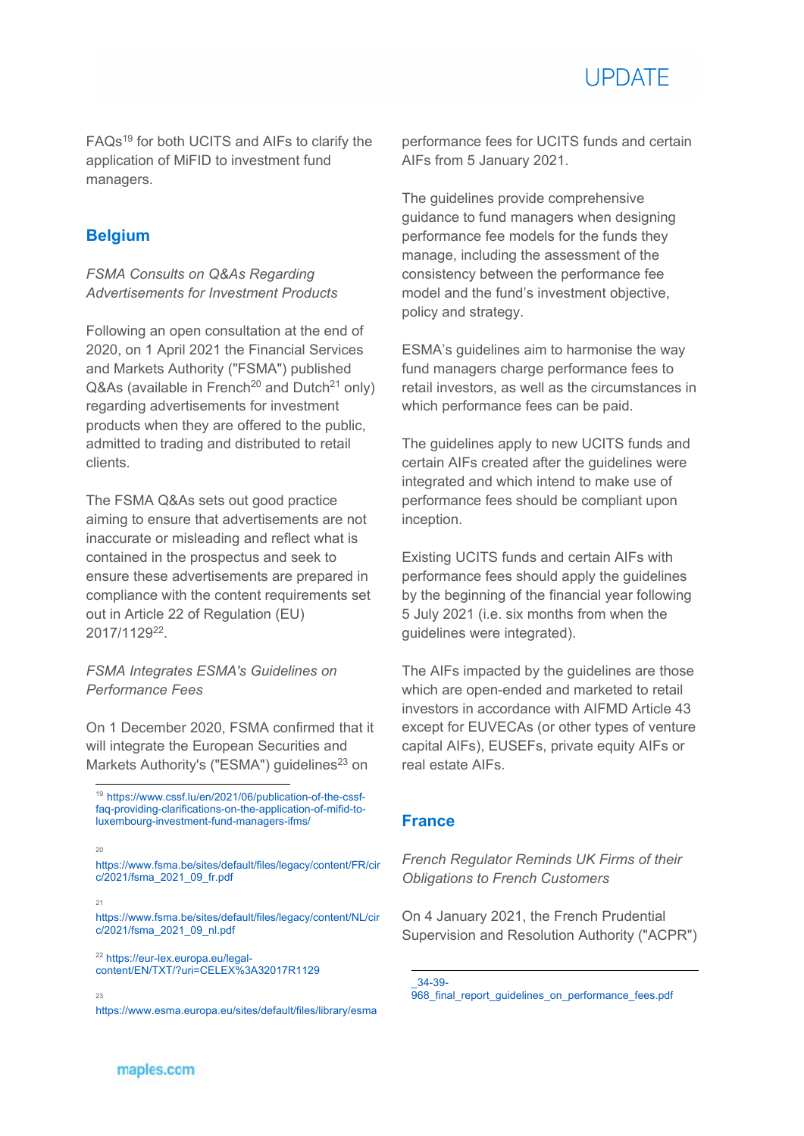

FAQs19 for both UCITS and AIFs to clarify the application of MiFID to investment fund managers.

# **Belgium**

*FSMA Consults on Q&As Regarding Advertisements for Investment Products* 

Following an open consultation at the end of 2020, on 1 April 2021 the Financial Services and Markets Authority ("FSMA") published  $Q&As$  (available in French<sup>20</sup> and Dutch<sup>21</sup> only) regarding advertisements for investment products when they are offered to the public, admitted to trading and distributed to retail clients.

The FSMA Q&As sets out good practice aiming to ensure that advertisements are not inaccurate or misleading and reflect what is contained in the prospectus and seek to ensure these advertisements are prepared in compliance with the content requirements set out in Article 22 of Regulation (EU) 2017/112922.

# *FSMA Integrates ESMA's Guidelines on Performance Fees*

On 1 December 2020, FSMA confirmed that it will integrate the European Securities and Markets Authority's ("ESMA") guidelines<sup>23</sup> on

21

-

https://www.fsma.be/sites/default/files/legacy/content/FR/cir c/2021/fsma\_2021\_09\_fr.pdf

https://www.fsma.be/sites/default/files/legacy/content/NL/cir c/2021/fsma\_2021\_09\_nl.pdf

<sup>22</sup> https://eur-lex.europa.eu/legalcontent/EN/TXT/?uri=CELEX%3A32017R1129

23

https://www.esma.europa.eu/sites/default/files/library/esma

The guidelines provide comprehensive guidance to fund managers when designing performance fee models for the funds they manage, including the assessment of the consistency between the performance fee model and the fund's investment objective, policy and strategy.

ESMA's guidelines aim to harmonise the way fund managers charge performance fees to retail investors, as well as the circumstances in which performance fees can be paid.

The guidelines apply to new UCITS funds and certain AIFs created after the guidelines were integrated and which intend to make use of performance fees should be compliant upon inception.

Existing UCITS funds and certain AIFs with performance fees should apply the guidelines by the beginning of the financial year following 5 July 2021 (i.e. six months from when the guidelines were integrated).

The AIFs impacted by the guidelines are those which are open-ended and marketed to retail investors in accordance with AIFMD Article 43 except for EUVECAs (or other types of venture capital AIFs), EUSEFs, private equity AIFs or real estate AIFs.

# **France**

<u>.</u>

*French Regulator Reminds UK Firms of their Obligations to French Customers* 

On 4 January 2021, the French Prudential Supervision and Resolution Authority ("ACPR")

\_34-39- 968\_final\_report\_guidelines\_on\_performance\_fees.pdf

<sup>19</sup> https://www.cssf.lu/en/2021/06/publication-of-the-cssffaq-providing-clarifications-on-the-application-of-mifid-toluxembourg-investment-fund-managers-ifms/

 $20$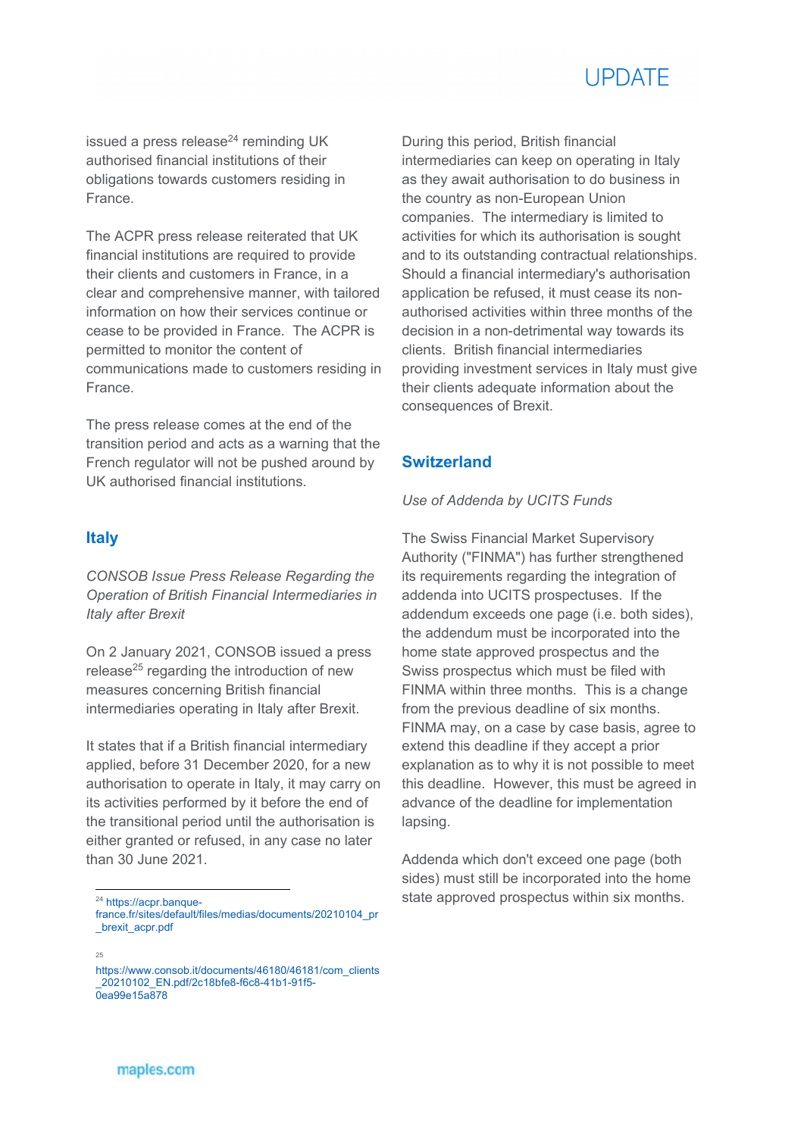

issued a press release<sup>24</sup> reminding UK authorised financial institutions of their obligations towards customers residing in France.

The ACPR press release reiterated that UK financial institutions are required to provide their clients and customers in France, in a clear and comprehensive manner, with tailored information on how their services continue or cease to be provided in France. The ACPR is permitted to monitor the content of communications made to customers residing in France.

The press release comes at the end of the transition period and acts as a warning that the French regulator will not be pushed around by UK authorised financial institutions.

#### **Italy**

*CONSOB Issue Press Release Regarding the Operation of British Financial Intermediaries in Italy after Brexit* 

On 2 January 2021, CONSOB issued a press release<sup>25</sup> regarding the introduction of new measures concerning British financial intermediaries operating in Italy after Brexit.

It states that if a British financial intermediary applied, before 31 December 2020, for a new authorisation to operate in Italy, it may carry on its activities performed by it before the end of the transitional period until the authorisation is either granted or refused, in any case no later than 30 June 2021.

During this period, British financial intermediaries can keep on operating in Italy as they await authorisation to do business in the country as non-European Union companies. The intermediary is limited to activities for which its authorisation is sought and to its outstanding contractual relationships. Should a financial intermediary's authorisation application be refused, it must cease its nonauthorised activities within three months of the decision in a non-detrimental way towards its clients. British financial intermediaries providing investment services in Italy must give their clients adequate information about the consequences of Brexit.

# **Switzerland**

#### *Use of Addenda by UCITS Funds*

The Swiss Financial Market Supervisory Authority ("FINMA") has further strengthened its requirements regarding the integration of addenda into UCITS prospectuses. If the addendum exceeds one page (i.e. both sides), the addendum must be incorporated into the home state approved prospectus and the Swiss prospectus which must be filed with FINMA within three months. This is a change from the previous deadline of six months. FINMA may, on a case by case basis, agree to extend this deadline if they accept a prior explanation as to why it is not possible to meet this deadline. However, this must be agreed in advance of the deadline for implementation lapsing.

Addenda which don't exceed one page (both sides) must still be incorporated into the home state approved prospectus within six months.

#### 25

<sup>&</sup>lt;sup>24</sup> https://acpr.banque-

france.fr/sites/default/files/medias/documents/20210104\_pr \_brexit\_acpr.pdf

https://www.consob.it/documents/46180/46181/com\_clients \_20210102\_EN.pdf/2c18bfe8-f6c8-41b1-91f5- 0ea99e15a878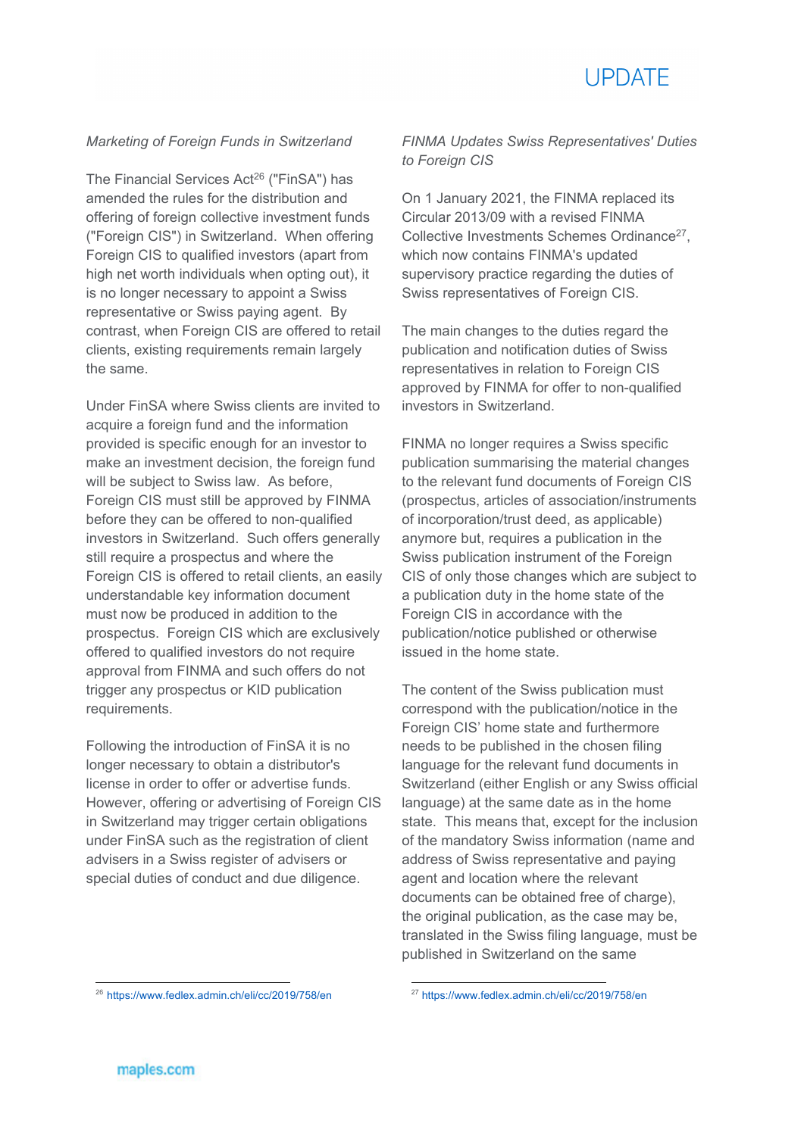

#### *Marketing of Foreign Funds in Switzerland*

The Financial Services Act<sup>26</sup> ("FinSA") has amended the rules for the distribution and offering of foreign collective investment funds ("Foreign CIS") in Switzerland. When offering Foreign CIS to qualified investors (apart from high net worth individuals when opting out), it is no longer necessary to appoint a Swiss representative or Swiss paying agent. By contrast, when Foreign CIS are offered to retail clients, existing requirements remain largely the same.

Under FinSA where Swiss clients are invited to acquire a foreign fund and the information provided is specific enough for an investor to make an investment decision, the foreign fund will be subiect to Swiss law. As before, Foreign CIS must still be approved by FINMA before they can be offered to non-qualified investors in Switzerland. Such offers generally still require a prospectus and where the Foreign CIS is offered to retail clients, an easily understandable key information document must now be produced in addition to the prospectus. Foreign CIS which are exclusively offered to qualified investors do not require approval from FINMA and such offers do not trigger any prospectus or KID publication requirements.

Following the introduction of FinSA it is no longer necessary to obtain a distributor's license in order to offer or advertise funds. However, offering or advertising of Foreign CIS in Switzerland may trigger certain obligations under FinSA such as the registration of client advisers in a Swiss register of advisers or special duties of conduct and due diligence.

*FINMA Updates Swiss Representatives' Duties to Foreign CIS* 

On 1 January 2021, the FINMA replaced its Circular 2013/09 with a revised FINMA Collective Investments Schemes Ordinance27, which now contains FINMA's updated supervisory practice regarding the duties of Swiss representatives of Foreign CIS.

The main changes to the duties regard the publication and notification duties of Swiss representatives in relation to Foreign CIS approved by FINMA for offer to non-qualified investors in Switzerland.

FINMA no longer requires a Swiss specific publication summarising the material changes to the relevant fund documents of Foreign CIS (prospectus, articles of association/instruments of incorporation/trust deed, as applicable) anymore but, requires a publication in the Swiss publication instrument of the Foreign CIS of only those changes which are subject to a publication duty in the home state of the Foreign CIS in accordance with the publication/notice published or otherwise issued in the home state.

The content of the Swiss publication must correspond with the publication/notice in the Foreign CIS' home state and furthermore needs to be published in the chosen filing language for the relevant fund documents in Switzerland (either English or any Swiss official language) at the same date as in the home state. This means that, except for the inclusion of the mandatory Swiss information (name and address of Swiss representative and paying agent and location where the relevant documents can be obtained free of charge), the original publication, as the case may be, translated in the Swiss filing language, must be published in Switzerland on the same

<sup>27</sup> https://www.fedlex.admin.ch/eli/cc/2019/758/en

<u>.</u>

<sup>26</sup> https://www.fedlex.admin.ch/eli/cc/2019/758/en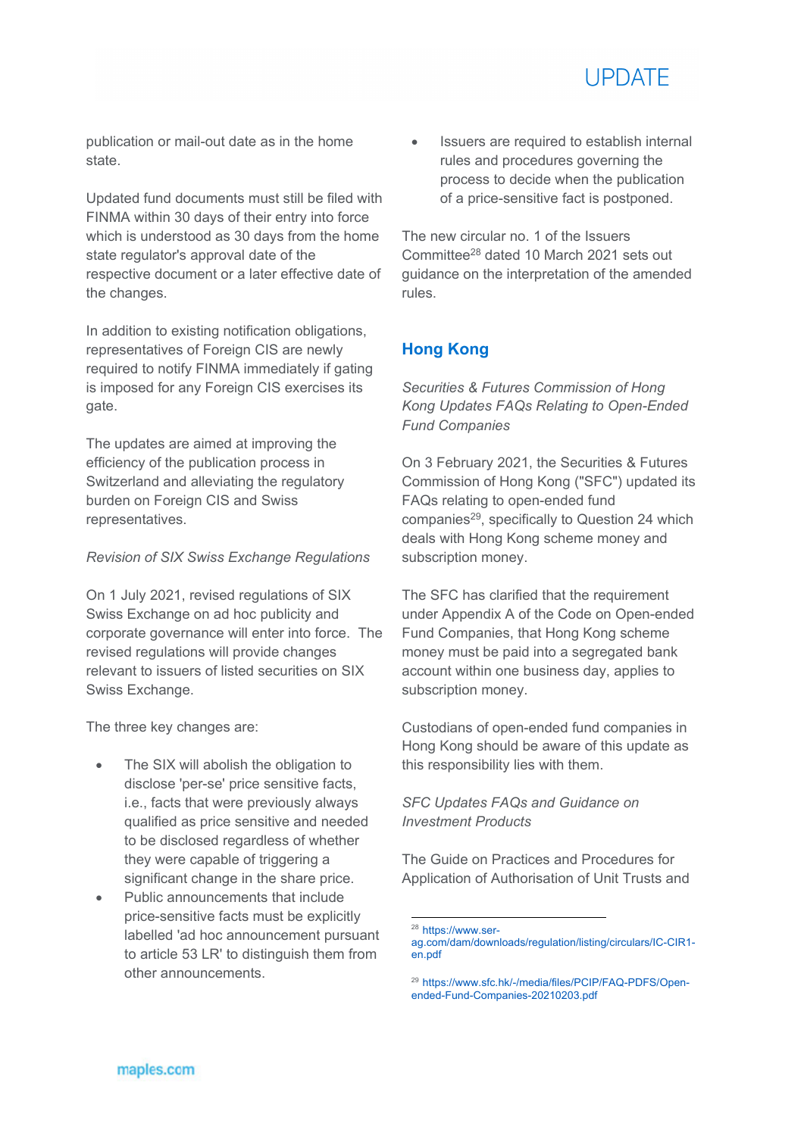

publication or mail-out date as in the home state.

Updated fund documents must still be filed with FINMA within 30 days of their entry into force which is understood as 30 days from the home state regulator's approval date of the respective document or a later effective date of the changes.

In addition to existing notification obligations, representatives of Foreign CIS are newly required to notify FINMA immediately if gating is imposed for any Foreign CIS exercises its gate.

The updates are aimed at improving the efficiency of the publication process in Switzerland and alleviating the regulatory burden on Foreign CIS and Swiss representatives.

#### *Revision of SIX Swiss Exchange Regulations*

On 1 July 2021, revised regulations of SIX Swiss Exchange on ad hoc publicity and corporate governance will enter into force. The revised regulations will provide changes relevant to issuers of listed securities on SIX Swiss Exchange.

The three key changes are:

- The SIX will abolish the obligation to disclose 'per-se' price sensitive facts, i.e., facts that were previously always qualified as price sensitive and needed to be disclosed regardless of whether they were capable of triggering a significant change in the share price.
- Public announcements that include price-sensitive facts must be explicitly labelled 'ad hoc announcement pursuant to article 53 LR' to distinguish them from other announcements.

• Issuers are required to establish internal rules and procedures governing the process to decide when the publication of a price-sensitive fact is postponed.

The new circular no. 1 of the Issuers Committee28 dated 10 March 2021 sets out guidance on the interpretation of the amended rules.

# **Hong Kong**

*Securities & Futures Commission of Hong Kong Updates FAQs Relating to Open-Ended Fund Companies* 

On 3 February 2021, the Securities & Futures Commission of Hong Kong ("SFC") updated its FAQs relating to open-ended fund companies<sup>29</sup>, specifically to Question 24 which deals with Hong Kong scheme money and subscription money.

The SFC has clarified that the requirement under Appendix A of the Code on Open-ended Fund Companies, that Hong Kong scheme money must be paid into a segregated bank account within one business day, applies to subscription money.

Custodians of open-ended fund companies in Hong Kong should be aware of this update as this responsibility lies with them.

# *SFC Updates FAQs and Guidance on Investment Products*

The Guide on Practices and Procedures for Application of Authorisation of Unit Trusts and

<sup>-</sup><sup>28</sup> https://www.ser-

ag.com/dam/downloads/regulation/listing/circulars/IC-CIR1 en.pdf

<sup>29</sup> https://www.sfc.hk/-/media/files/PCIP/FAQ-PDFS/Openended-Fund-Companies-20210203.pdf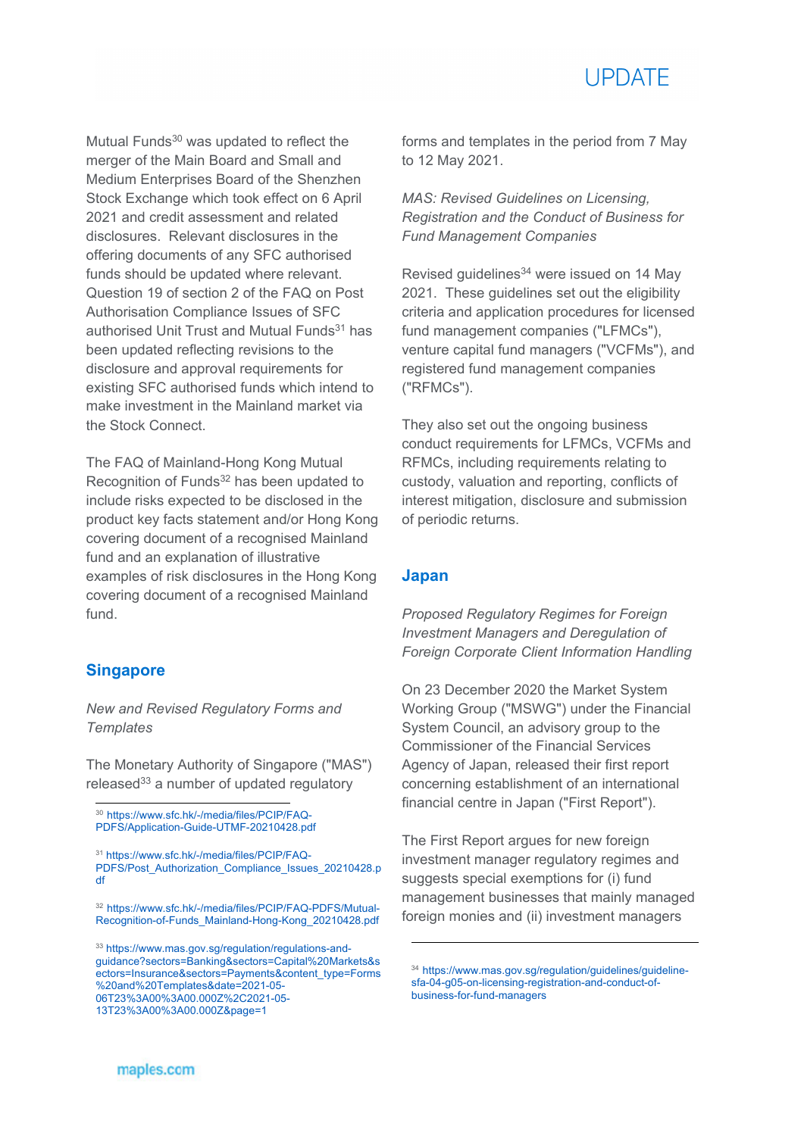

Mutual Funds<sup>30</sup> was updated to reflect the merger of the Main Board and Small and Medium Enterprises Board of the Shenzhen Stock Exchange which took effect on 6 April 2021 and credit assessment and related disclosures. Relevant disclosures in the offering documents of any SFC authorised funds should be updated where relevant. Question 19 of section 2 of the FAQ on Post Authorisation Compliance Issues of SFC authorised Unit Trust and Mutual Funds<sup>31</sup> has been updated reflecting revisions to the disclosure and approval requirements for existing SFC authorised funds which intend to make investment in the Mainland market via the Stock Connect.

The FAQ of Mainland-Hong Kong Mutual Recognition of Funds<sup>32</sup> has been updated to include risks expected to be disclosed in the product key facts statement and/or Hong Kong covering document of a recognised Mainland fund and an explanation of illustrative examples of risk disclosures in the Hong Kong covering document of a recognised Mainland fund.

### **Singapore**

1

*New and Revised Regulatory Forms and Templates* 

The Monetary Authority of Singapore ("MAS") released $33$  a number of updated regulatory

<sup>30</sup> https://www.sfc.hk/-/media/files/PCIP/FAQ-

PDFS/Application-Guide-UTMF-20210428.pdf

<sup>31</sup> https://www.sfc.hk/-/media/files/PCIP/FAQ-PDFS/Post\_Authorization\_Compliance\_Issues\_20210428.p df

13T23%3A00%3A00.000Z&page=1

forms and templates in the period from 7 May to 12 May 2021.

*MAS: Revised Guidelines on Licensing, Registration and the Conduct of Business for Fund Management Companies* 

Revised quidelines<sup>34</sup> were issued on 14 May 2021. These guidelines set out the eligibility criteria and application procedures for licensed fund management companies ("LFMCs"), venture capital fund managers ("VCFMs"), and registered fund management companies ("RFMCs").

They also set out the ongoing business conduct requirements for LFMCs, VCFMs and RFMCs, including requirements relating to custody, valuation and reporting, conflicts of interest mitigation, disclosure and submission of periodic returns.

# **Japan**

<u>.</u>

*Proposed Regulatory Regimes for Foreign Investment Managers and Deregulation of Foreign Corporate Client Information Handling* 

On 23 December 2020 the Market System Working Group ("MSWG") under the Financial System Council, an advisory group to the Commissioner of the Financial Services Agency of Japan, released their first report concerning establishment of an international financial centre in Japan ("First Report").

The First Report argues for new foreign investment manager regulatory regimes and suggests special exemptions for (i) fund management businesses that mainly managed foreign monies and (ii) investment managers

<sup>32</sup> https://www.sfc.hk/-/media/files/PCIP/FAQ-PDFS/Mutual-Recognition-of-Funds\_Mainland-Hong-Kong\_20210428.pdf

<sup>33</sup> https://www.mas.gov.sg/regulation/regulations-andguidance?sectors=Banking&sectors=Capital%20Markets&s ectors=Insurance&sectors=Payments&content\_type=Forms %20and%20Templates&date=2021-05- 06T23%3A00%3A00.000Z%2C2021-05-

<sup>34</sup> https://www.mas.gov.sg/regulation/guidelines/guidelinesfa-04-g05-on-licensing-registration-and-conduct-ofbusiness-for-fund-managers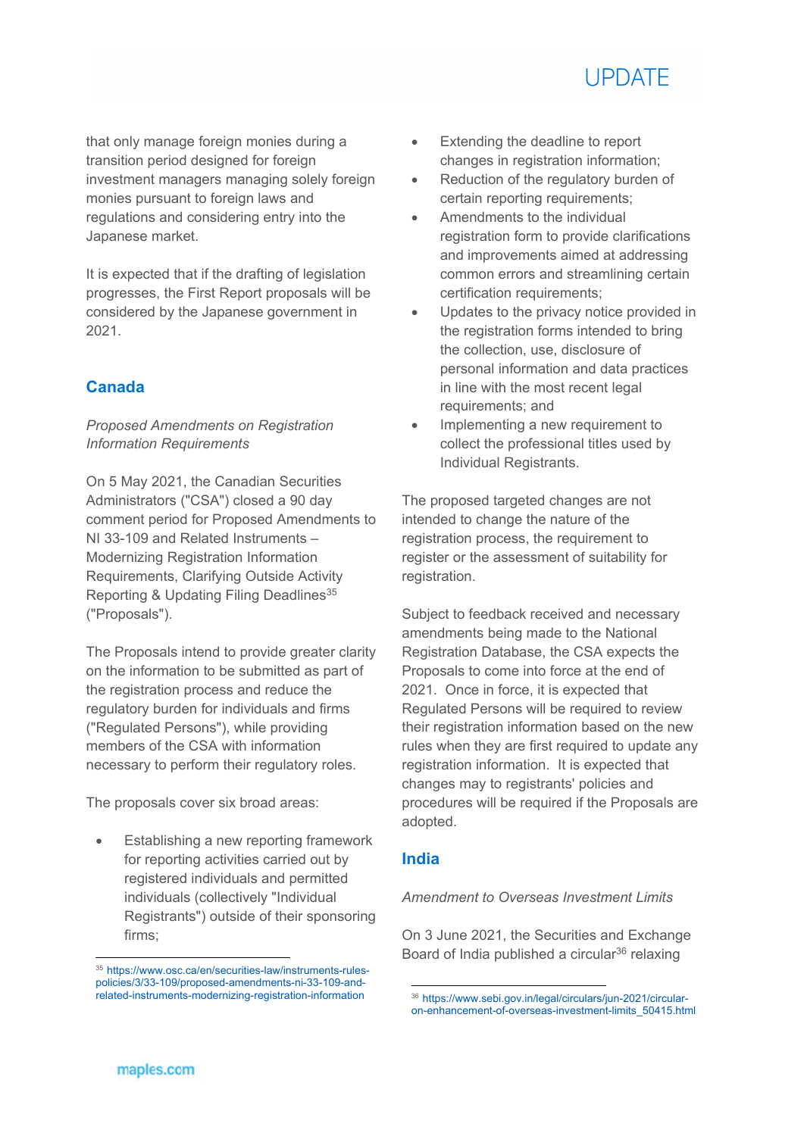

that only manage foreign monies during a transition period designed for foreign investment managers managing solely foreign monies pursuant to foreign laws and regulations and considering entry into the Japanese market.

It is expected that if the drafting of legislation progresses, the First Report proposals will be considered by the Japanese government in 2021.

# **Canada**

# *Proposed Amendments on Registration Information Requirements*

On 5 May 2021, the Canadian Securities Administrators ("CSA") closed a 90 day comment period for Proposed Amendments to NI 33-109 and Related Instruments – Modernizing Registration Information Requirements, Clarifying Outside Activity Reporting & Updating Filing Deadlines<sup>35</sup> ("Proposals").

The Proposals intend to provide greater clarity on the information to be submitted as part of the registration process and reduce the regulatory burden for individuals and firms ("Regulated Persons"), while providing members of the CSA with information necessary to perform their regulatory roles.

The proposals cover six broad areas:

 Establishing a new reporting framework for reporting activities carried out by registered individuals and permitted individuals (collectively "Individual Registrants") outside of their sponsoring firms;

- Extending the deadline to report changes in registration information;
- Reduction of the regulatory burden of certain reporting requirements;
- Amendments to the individual registration form to provide clarifications and improvements aimed at addressing common errors and streamlining certain certification requirements;
- Updates to the privacy notice provided in the registration forms intended to bring the collection, use, disclosure of personal information and data practices in line with the most recent legal requirements; and
- Implementing a new requirement to collect the professional titles used by Individual Registrants.

The proposed targeted changes are not intended to change the nature of the registration process, the requirement to register or the assessment of suitability for registration.

Subject to feedback received and necessary amendments being made to the National Registration Database, the CSA expects the Proposals to come into force at the end of 2021. Once in force, it is expected that Regulated Persons will be required to review their registration information based on the new rules when they are first required to update any registration information. It is expected that changes may to registrants' policies and procedures will be required if the Proposals are adopted.

# **India**

#### *Amendment to Overseas Investment Limits*

On 3 June 2021, the Securities and Exchange Board of India published a circular $36$  relaxing

<sup>&</sup>lt;sup>35</sup> https://www.osc.ca/en/securities-law/instruments-rulespolicies/3/33-109/proposed-amendments-ni-33-109-andrelated-instruments-modernizing-registration-information

<sup>-</sup><sup>36</sup> https://www.sebi.gov.in/legal/circulars/jun-2021/circularon-enhancement-of-overseas-investment-limits\_50415.html